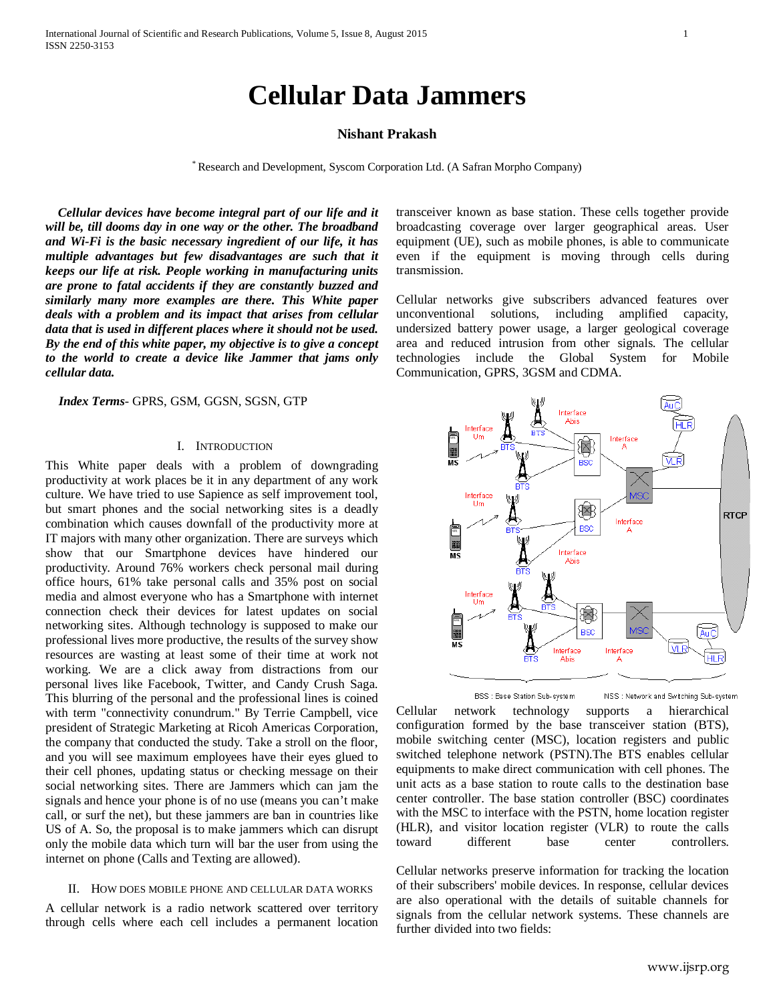# **Cellular Data Jammers**

# **Nishant Prakash**

\* Research and Development, Syscom Corporation Ltd. (A Safran Morpho Company)

 *Cellular devices have become integral part of our life and it will be, till dooms day in one way or the other. The broadband and Wi-Fi is the basic necessary ingredient of our life, it has multiple advantages but few disadvantages are such that it keeps our life at risk. People working in manufacturing units are prone to fatal accidents if they are constantly buzzed and similarly many more examples are there. This White paper deals with a problem and its impact that arises from cellular data that is used in different places where it should not be used. By the end of this white paper, my objective is to give a concept to the world to create a device like Jammer that jams only cellular data.*

 *Index Terms*- GPRS, GSM, GGSN, SGSN, GTP

## I. INTRODUCTION

This White paper deals with a problem of downgrading productivity at work places be it in any department of any work culture. We have tried to use Sapience as self improvement tool, but smart phones and the social networking sites is a deadly combination which causes downfall of the productivity more at IT majors with many other organization. There are surveys which show that our Smartphone devices have hindered our productivity. Around 76% workers check personal mail during office hours, 61% take personal calls and 35% post on social media and almost everyone who has a Smartphone with internet connection check their devices for latest updates on social networking sites. Although technology is supposed to make our professional lives more productive, the results of the survey show resources are wasting at least some of their time at work not working. We are a click away from distractions from our personal lives like Facebook, Twitter, and Candy Crush Saga. This blurring of the personal and the professional lines is coined with term "connectivity conundrum." By Terrie Campbell, vice president of Strategic Marketing at Ricoh Americas Corporation, the company that conducted the study. Take a stroll on the floor, and you will see maximum employees have their eyes glued to their cell phones, updating status or checking message on their social networking sites. There are Jammers which can jam the signals and hence your phone is of no use (means you can't make call, or surf the net), but these jammers are ban in countries like US of A. So, the proposal is to make jammers which can disrupt only the mobile data which turn will bar the user from using the internet on phone (Calls and Texting are allowed).

#### II. HOW DOES MOBILE PHONE AND CELLULAR DATA WORKS

A cellular network is a radio network scattered over territory through cells where each cell includes a permanent location transceiver known as base station. These cells together provide broadcasting coverage over larger geographical areas. User equipment (UE), such as mobile phones, is able to communicate even if the equipment is moving through cells during transmission.

Cellular networks give subscribers advanced features over unconventional solutions, including amplified capacity, undersized battery power usage, a larger geological coverage area and reduced intrusion from other signals. The cellular technologies include the Global System for Mobile Communication, GPRS, 3GSM and CDMA.



BSS : Base Station Sub-system NSS : Network and Switching Sub-system

Cellular network technology supports a hierarchical configuration formed by the base transceiver station (BTS), mobile switching center (MSC), location registers and public switched telephone network (PSTN).The BTS enables cellular equipments to make direct communication with cell phones. The unit acts as a base station to route calls to the destination base center controller. The base station controller (BSC) coordinates with the MSC to interface with the PSTN, home location register (HLR), and visitor location register (VLR) to route the calls toward different base center controllers.

Cellular networks preserve information for tracking the location of their subscribers' mobile devices. In response, cellular devices are also operational with the details of suitable channels for signals from the cellular network systems. These channels are further divided into two fields: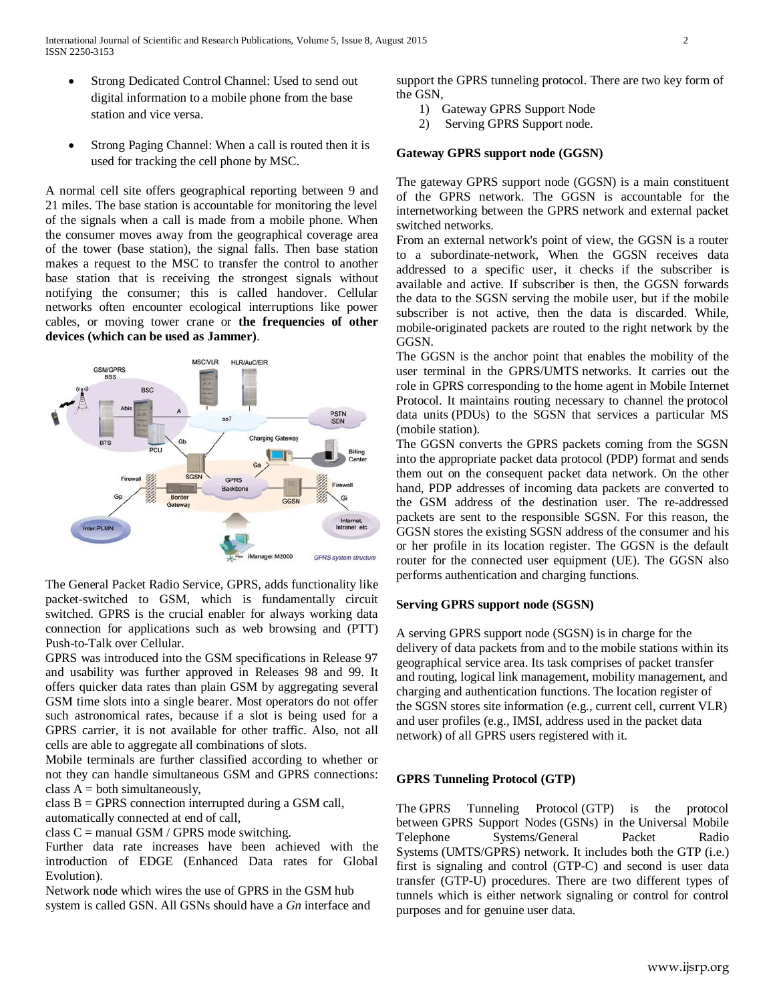- Strong Dedicated Control Channel: Used to send out digital information to a mobile phone from the base station and vice versa.
- Strong Paging Channel: When a call is routed then it is used for tracking the cell phone by MSC.

A normal cell site offers geographical reporting between 9 and 21 miles. The base station is accountable for monitoring the level of the signals when a call is made from a mobile phone. When the consumer moves away from the geographical coverage area of the tower (base station), the signal falls. Then base station makes a request to the MSC to transfer the control to another base station that is receiving the strongest signals without notifying the consumer; this is called handover. Cellular networks often encounter ecological interruptions like power cables, or moving tower crane or **the frequencies of other devices (which can be used as Jammer)**.



The General Packet Radio Service, GPRS, adds functionality like packet-switched to GSM, which is fundamentally circuit switched. GPRS is the crucial enabler for always working data connection for applications such as web browsing and (PTT) Push-to-Talk over Cellular.

GPRS was introduced into the GSM specifications in Release 97 and usability was further approved in Releases 98 and 99. It offers quicker data rates than plain GSM by aggregating several GSM time slots into a single bearer. Most operators do not offer such astronomical rates, because if a slot is being used for a GPRS carrier, it is not available for other traffic. Also, not all cells are able to aggregate all combinations of slots.

Mobile terminals are further classified according to whether or not they can handle simultaneous GSM and GPRS connections: class  $A =$  both simultaneously,

class  $B = GPRS$  connection interrupted during a GSM call,

automatically connected at end of call,

class  $C =$  manual GSM / GPRS mode switching.

Further data rate increases have been achieved with the introduction of EDGE (Enhanced Data rates for Global Evolution).

Network node which wires the use of GPRS in the GSM hub system is called GSN. All GSNs should have a *Gn* interface and support the GPRS tunneling protocol. There are two key form of the GSN,

- 1) Gateway GPRS Support Node
- 2) Serving GPRS Support node.

# **Gateway GPRS support node (GGSN)**

The gateway GPRS support node (GGSN) is a main constituent of the GPRS network. The GGSN is accountable for the internetworking between the GPRS network and external packet switched networks.

From an external network's point of view, the GGSN is a router to a subordinate-network, When the GGSN receives data addressed to a specific user, it checks if the subscriber is available and active. If subscriber is then, the GGSN forwards the data to the SGSN serving the mobile user, but if the mobile subscriber is not active, then the data is discarded. While, mobile-originated packets are routed to the right network by the GGSN.

The GGSN is the anchor point that enables the mobility of the user terminal in the GPRS/UMTS networks. It carries out the role in GPRS corresponding to the home agent in Mobile Internet Protocol. It maintains routing necessary to channel the protocol data units (PDUs) to the SGSN that services a particular MS (mobile station).

The GGSN converts the GPRS packets coming from the SGSN into the appropriate packet data protocol (PDP) format and sends them out on the consequent packet data network. On the other hand, PDP addresses of incoming data packets are converted to the GSM address of the destination user. The re-addressed packets are sent to the responsible SGSN. For this reason, the GGSN stores the existing SGSN address of the consumer and his or her profile in its location register. The GGSN is the default router for the connected user equipment (UE). The GGSN also performs authentication and charging functions.

# **Serving GPRS support node (SGSN)**

A serving GPRS support node (SGSN) is in charge for the delivery of data packets from and to the mobile stations within its geographical service area. Its task comprises of packet transfer and routing, logical link management, mobility management, and charging and authentication functions. The location register of the SGSN stores site information (e.g., current cell, current VLR) and user profiles (e.g., IMSI, address used in the packet data network) of all GPRS users registered with it.

# **GPRS Tunneling Protocol (GTP)**

The GPRS Tunneling Protocol (GTP) is the protocol between GPRS Support Nodes (GSNs) in the Universal Mobile Telephone Systems/General Packet Radio Systems (UMTS/GPRS) network. It includes both the GTP (i.e.) first is signaling and control (GTP-C) and second is user data transfer (GTP-U) procedures. There are two different types of tunnels which is either network signaling or control for control purposes and for genuine user data.